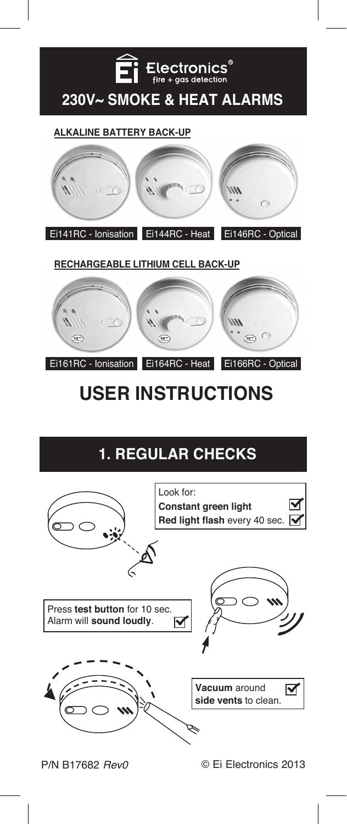

### **ALKALINE BATTERY BACK-UP**



**RECHARGEABLE LITHIUM CELL BACK-UP**



# **USER INSTRUCTIONS**

# **1. REGULAR CHECKS**

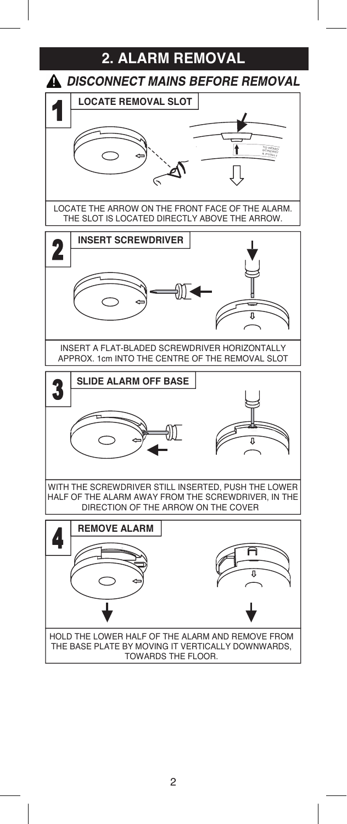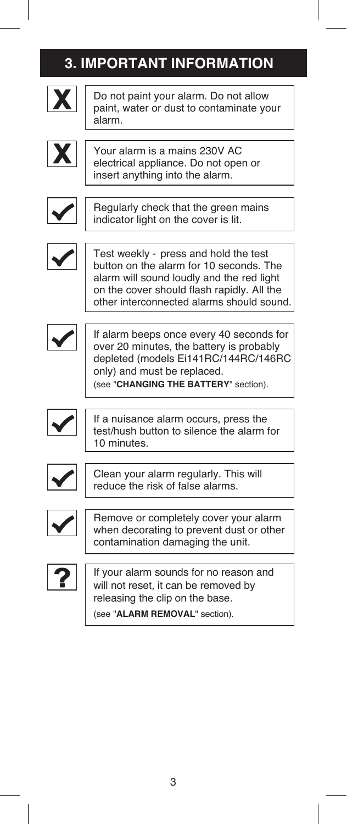|   | <b>3. IMPORTANT INFORMATION</b>                                                                                                                                                                                          |
|---|--------------------------------------------------------------------------------------------------------------------------------------------------------------------------------------------------------------------------|
| X | Do not paint your alarm. Do not allow<br>paint, water or dust to contaminate your<br>alarm.                                                                                                                              |
|   | Your alarm is a mains 230V AC<br>electrical appliance. Do not open or<br>insert anything into the alarm.                                                                                                                 |
|   | Regularly check that the green mains<br>indicator light on the cover is lit.                                                                                                                                             |
|   | Test weekly - press and hold the test<br>button on the alarm for 10 seconds. The<br>alarm will sound loudly and the red light<br>on the cover should flash rapidly. All the<br>other interconnected alarms should sound. |
|   | If alarm beeps once every 40 seconds for<br>over 20 minutes, the battery is probably<br>depleted (models Ei141RC/144RC/146RC<br>only) and must be replaced.<br>(see "CHANGING THE BATTERY" section).                     |
|   | If a nuisance alarm occurs, press the<br>test/hush button to silence the alarm for<br>10 minutes.                                                                                                                        |
|   | Clean your alarm regularly. This will<br>reduce the risk of false alarms.                                                                                                                                                |
|   | Remove or completely cover your alarm<br>when decorating to prevent dust or other<br>contamination damaging the unit.                                                                                                    |
|   | If your alarm sounds for no reason and<br>will not reset, it can be removed by<br>releasing the clip on the base.                                                                                                        |

I

(see "**ALARM REMOVAL**" section).

I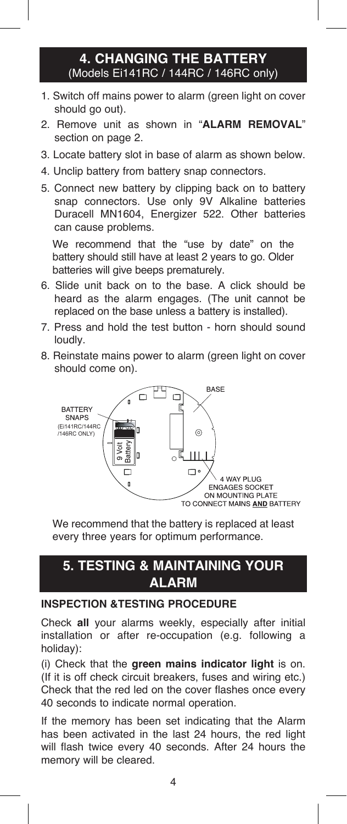### **4. CHANGING THE BATTERY** (Models Ei141RC / 144RC / 146RC only)

- 1. Switch off mains power to alarm (green light on cover should go out).
- 2. Remove unit as shown in "**ALARM REMOVAL**" section on page 2.
- 3. Locate battery slot in base of alarm as shown below.
- 4. Unclip battery from battery snap connectors.
- 5. Connect new battery by clipping back on to battery snap connectors. Use only 9V Alkaline batteries Duracell MN1604, Energizer 522. Other batteries can cause problems.

We recommend that the "use by date" on the battery should still have at least 2 years to go. Older batteries will give beeps prematurely.

- 6. Slide unit back on to the base. A click should be heard as the alarm engages. (The unit cannot be replaced on the base unless a battery is installed).
- 7. Press and hold the test button horn should sound loudly.
- 8. Reinstate mains power to alarm (green light on cover should come on).



We recommend that the battery is replaced at least every three years for optimum performance.

### **5. TESTING & MAINTAINING YOUR ALARM**

### **INSPECTION &TESTING PROCEDURE**

Check **all** your alarms weekly, especially after initial installation or after re-occupation (e.g. following a holiday):

(i) Check that the **green mains indicator light** is on. (If it is off check circuit breakers, fuses and wiring etc.) Check that the red led on the cover flashes once every 40 seconds to indicate normal operation.

If the memory has been set indicating that the Alarm has been activated in the last 24 hours, the red light will flash twice every 40 seconds. After 24 hours the memory will be cleared.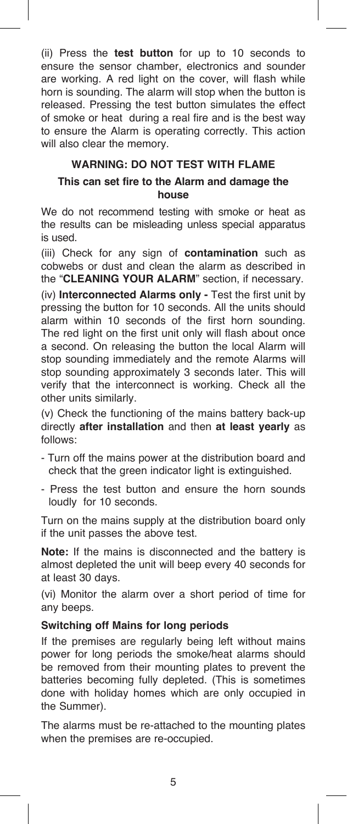(ii) Press the **test button** for up to 10 seconds to ensure the sensor chamber, electronics and sounder are working. A red light on the cover, will flash while horn is sounding. The alarm will stop when the button is released. Pressing the test button simulates the effect of smoke or heat during a real fire and is the best way to ensure the Alarm is operating correctly. This action will also clear the memory.

### **WARNING: DO NOT TEST WITH FLAME**

### **This can set fire to the Alarm and damage the house**

We do not recommend testing with smoke or heat as the results can be misleading unless special apparatus is used.

(iii) Check for any sign of **contamination** such as cobwebs or dust and clean the alarm as described in the "**CLEANING YOUR ALARM**" section, if necessary.

(iv) **Interconnected Alarms only -** Test the first unit by pressing the button for 10 seconds. All the units should alarm within 10 seconds of the first horn sounding. The red light on the first unit only will flash about once a second. On releasing the button the local Alarm will stop sounding immediately and the remote Alarms will stop sounding approximately 3 seconds later. This will verify that the interconnect is working. Check all the other units similarly.

(v) Check the functioning of the mains battery back-up directly **after installation** and then **at least yearly** as follows:

- Turn off the mains power at the distribution board and check that the green indicator light is extinguished.
- Press the test button and ensure the horn sounds loudly for 10 seconds.

Turn on the mains supply at the distribution board only if the unit passes the above test.

**Note:** If the mains is disconnected and the battery is almost depleted the unit will beep every 40 seconds for at least 30 days.

(vi) Monitor the alarm over a short period of time for any beeps.

### **Switching off Mains for long periods**

If the premises are regularly being left without mains power for long periods the smoke/heat alarms should be removed from their mounting plates to prevent the batteries becoming fully depleted. (This is sometimes done with holiday homes which are only occupied in the Summer).

The alarms must be re-attached to the mounting plates when the premises are re-occupied.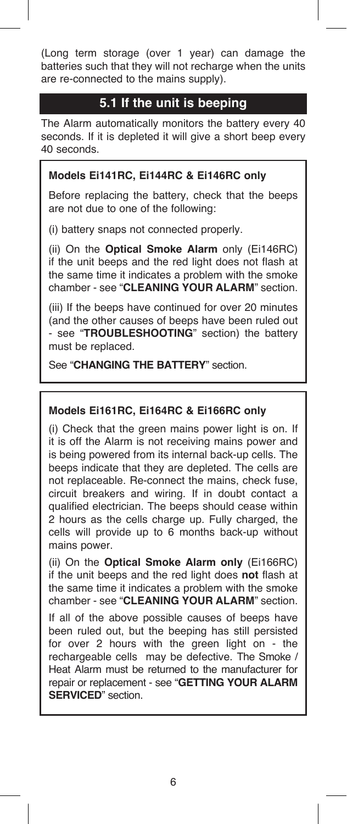(Long term storage (over 1 year) can damage the batteries such that they will not recharge when the units are re-connected to the mains supply).

### **5.1 If the unit is beeping**

The Alarm automatically monitors the battery every 40 seconds. If it is depleted it will give a short beep every 40 seconds.

### **Models Ei141RC, Ei144RC & Ei146RC only**

Before replacing the battery, check that the beeps are not due to one of the following:

(i) battery snaps not connected properly.

(ii) On the **Optical Smoke Alarm** only (Ei146RC) if the unit beeps and the red light does not flash at the same time it indicates a problem with the smoke chamber - see "**CLEANING YOUR ALARM**" section.

(iii) If the beeps have continued for over 20 minutes (and the other causes of beeps have been ruled out - see "**TROUBLESHOOTING**" section) the battery must be replaced.

See "**CHANGING THE BATTERY**" section.

### **Models Ei161RC, Ei164RC & Ei166RC only**

(i) Check that the green mains power light is on. If it is off the Alarm is not receiving mains power and is being powered from its internal back-up cells. The beeps indicate that they are depleted. The cells are not replaceable. Re-connect the mains, check fuse, circuit breakers and wiring. If in doubt contact a qualified electrician. The beeps should cease within 2 hours as the cells charge up. Fully charged, the cells will provide up to 6 months back-up without mains power.

(ii) On the **Optical Smoke Alarm only** (Ei166RC) if the unit beeps and the red light does **not** flash at the same time it indicates a problem with the smoke chamber - see "**CLEANING YOUR ALARM**" section.

If all of the above possible causes of beeps have been ruled out, but the beeping has still persisted for over 2 hours with the green light on - the rechargeable cells may be defective. The Smoke / Heat Alarm must be returned to the manufacturer for repair or replacement - see "**GETTING YOUR ALARM SERVICED**" section.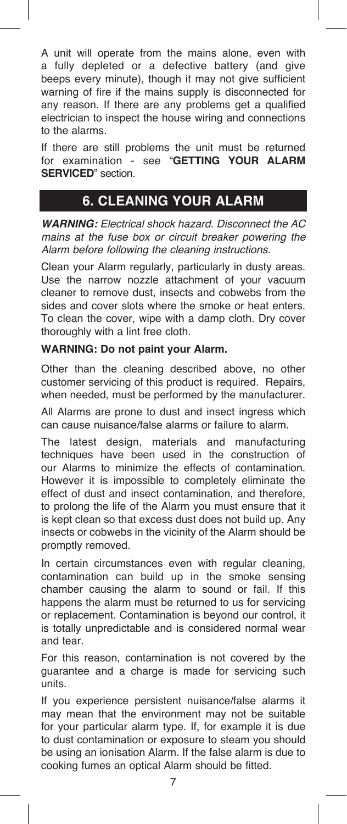A unit will operate from the mains alone, even with a fully depleted or a defective battery (and give beeps every minute), though it may not give sufficient warning of fire if the mains supply is disconnected for any reason. If there are any problems get a qualified electrician to inspect the house wiring and connections to the alarms.

If there are still problems the unit must be returned for examination - see "**GETTING YOUR ALARM SERVICED**" section.

# **6. CLEANING YOUR ALARM**

*WARNING: Electrical shock hazard. Disconnect the AC mains at the fuse box or circuit breaker powering the Alarm before following the cleaning instructions.*

Clean your Alarm regularly, particularly in dusty areas. Use the narrow nozzle attachment of your vacuum cleaner to remove dust, insects and cobwebs from the sides and cover slots where the smoke or heat enters. To clean the cover, wipe with a damp cloth. Dry cover thoroughly with a lint free cloth.

### **WARNING: Do not paint your Alarm.**

Other than the cleaning described above, no other customer servicing of this product is required. Repairs, when needed, must be performed by the manufacturer.

All Alarms are prone to dust and insect ingress which can cause nuisance/false alarms or failure to alarm.

The latest design, materials and manufacturing techniques have been used in the construction of our Alarms to minimize the effects of contamination. However it is impossible to completely eliminate the effect of dust and insect contamination, and therefore, to prolong the life of the Alarm you must ensure that it is kept clean so that excess dust does not build up. Any insects or cobwebs in the vicinity of the Alarm should be promptly removed.

In certain circumstances even with regular cleaning, contamination can build up in the smoke sensing chamber causing the alarm to sound or fail. If this happens the alarm must be returned to us for servicing or replacement. Contamination is beyond our control, it is totally unpredictable and is considered normal wear and tear.

For this reason, contamination is not covered by the guarantee and a charge is made for servicing such units.

If you experience persistent nuisance/false alarms it may mean that the environment may not be suitable for your particular alarm type. If, for example it is due to dust contamination or exposure to steam you should be using an ionisation Alarm. If the false alarm is due to cooking fumes an optical Alarm should be fitted.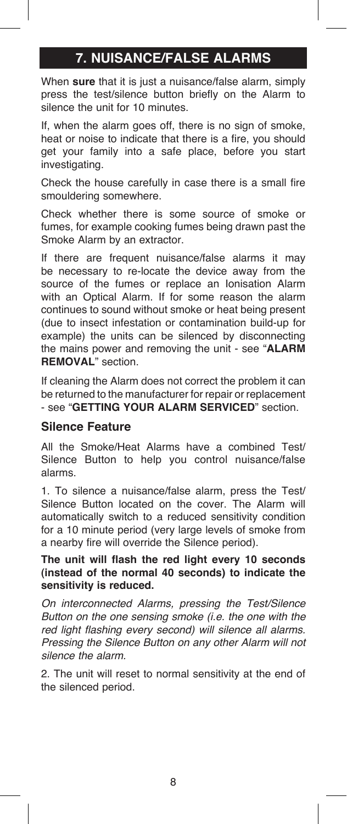# **7. NUISANCE/FALSE ALARMS**

When **sure** that it is just a nuisance/false alarm, simply press the test/silence button briefly on the Alarm to silence the unit for 10 minutes.

If, when the alarm goes off, there is no sign of smoke, heat or noise to indicate that there is a fire, you should get your family into a safe place, before you start investigating.

Check the house carefully in case there is a small fire smouldering somewhere.

Check whether there is some source of smoke or fumes, for example cooking fumes being drawn past the Smoke Alarm by an extractor.

If there are frequent nuisance/false alarms it may be necessary to re-locate the device away from the source of the fumes or replace an Ionisation Alarm with an Optical Alarm. If for some reason the alarm continues to sound without smoke or heat being present (due to insect infestation or contamination build-up for example) the units can be silenced by disconnecting the mains power and removing the unit - see "**ALARM REMOVAL**" section.

If cleaning the Alarm does not correct the problem it can be returned to the manufacturer for repair or replacement - see "**GETTING YOUR ALARM SERVICED**" section.

### **Silence Feature**

All the Smoke/Heat Alarms have a combined Test/ Silence Button to help you control nuisance/false alarms.

1. To silence a nuisance/false alarm, press the Test/ Silence Button located on the cover. The Alarm will automatically switch to a reduced sensitivity condition for a 10 minute period (very large levels of smoke from a nearby fire will override the Silence period).

### **The unit will flash the red light every 10 seconds (instead of the normal 40 seconds) to indicate the sensitivity is reduced.**

*On interconnected Alarms, pressing the Test/Silence Button on the one sensing smoke (i.e. the one with the red light flashing every second) will silence all alarms. Pressing the Silence Button on any other Alarm will not silence the alarm.* 

2. The unit will reset to normal sensitivity at the end of the silenced period.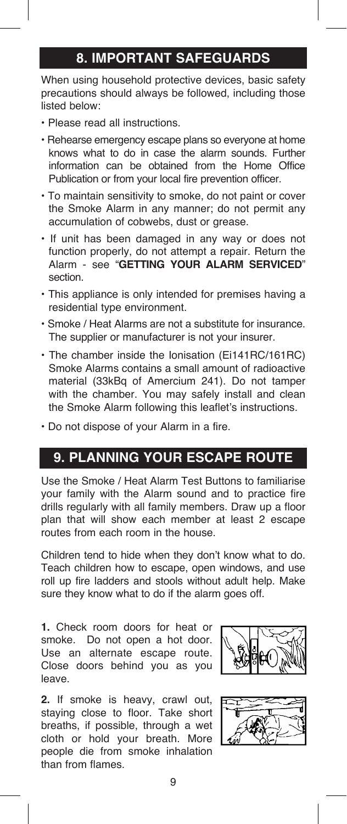## **8. IMPORTANT SAFEGUARDS**

When using household protective devices, basic safety precautions should always be followed, including those listed below:

- Please read all instructions.
- Rehearse emergency escape plans so everyone at home knows what to do in case the alarm sounds. Further information can be obtained from the Home Office Publication or from your local fire prevention officer.
- To maintain sensitivity to smoke, do not paint or cover the Smoke Alarm in any manner; do not permit any accumulation of cobwebs, dust or grease.
- If unit has been damaged in any way or does not function properly, do not attempt a repair. Return the Alarm - see "**GETTING YOUR ALARM SERVICED**" section.
- This appliance is only intended for premises having a residential type environment.
- Smoke / Heat Alarms are not a substitute for insurance. The supplier or manufacturer is not your insurer.
- The chamber inside the Ionisation (Ei141RC/161RC) Smoke Alarms contains a small amount of radioactive material (33kBq of Amercium 241). Do not tamper with the chamber. You may safely install and clean the Smoke Alarm following this leaflet's instructions.
- Do not dispose of your Alarm in a fire.

# **9. PLANNING YOUR ESCAPE ROUTE**

Use the Smoke / Heat Alarm Test Buttons to familiarise your family with the Alarm sound and to practice fire drills regularly with all family members. Draw up a floor plan that will show each member at least 2 escape routes from each room in the house.

Children tend to hide when they don't know what to do. Teach children how to escape, open windows, and use roll up fire ladders and stools without adult help. Make sure they know what to do if the alarm goes off.

**1.** Check room doors for heat or smoke. Do not open a hot door. Use an alternate escape route. Close doors behind you as you leave.

**2.** If smoke is heavy, crawl out, staying close to floor. Take short breaths, if possible, through a wet cloth or hold your breath. More people die from smoke inhalation than from flames.



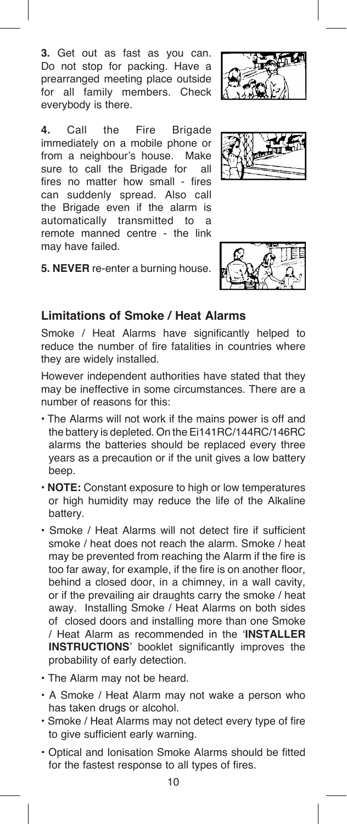**3.** Get out as fast as you can. Do not stop for packing. Have a prearranged meeting place outside for all family members. Check everybody is there.

**4.** Call the Fire Brigade immediately on a mobile phone or from a neighbour's house. Make sure to call the Brigade for all fires no matter how small - fires can suddenly spread. Also call the Brigade even if the alarm is automatically transmitted to a remote manned centre - the link may have failed.







### **Limitations of Smoke / Heat Alarms**

Smoke / Heat Alarms have significantly helped to reduce the number of fire fatalities in countries where they are widely installed.

However independent authorities have stated that they may be ineffective in some circumstances. There are a number of reasons for this:

- The Alarms will not work if the mains power is off and the battery is depleted. On the Ei141RC/144RC/146RC alarms the batteries should be replaced every three years as a precaution or if the unit gives a low battery beep.
- **NOTE:** Constant exposure to high or low temperatures or high humidity may reduce the life of the Alkaline battery.
- Smoke / Heat Alarms will not detect fire if sufficient smoke / heat does not reach the alarm. Smoke / heat may be prevented from reaching the Alarm if the fire is too far away, for example, if the fire is on another floor, behind a closed door, in a chimney, in a wall cavity, or if the prevailing air draughts carry the smoke / heat away. Installing Smoke / Heat Alarms on both sides of closed doors and installing more than one Smoke / Heat Alarm as recommended in the '**INSTALLER INSTRUCTIONS**' booklet significantly improves the probability of early detection.
- The Alarm may not be heard.
- A Smoke / Heat Alarm may not wake a person who has taken drugs or alcohol.
- Smoke / Heat Alarms may not detect every type of fire to give sufficient early warning.
- Optical and Ionisation Smoke Alarms should be fitted for the fastest response to all types of fires.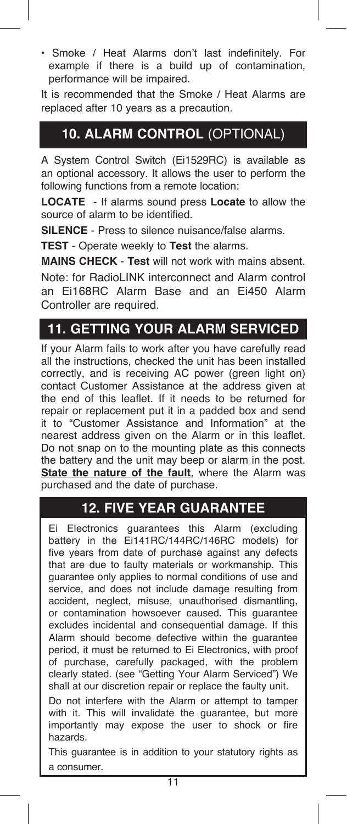• Smoke / Heat Alarms don't last indefinitely. For example if there is a build up of contamination, performance will be impaired.

It is recommended that the Smoke / Heat Alarms are replaced after 10 years as a precaution.

# **10. ALARM CONTROL** (OPTIONAL)

A System Control Switch (Ei1529RC) is available as an optional accessory. It allows the user to perform the following functions from a remote location:

**LOCATE** - If alarms sound press **Locate** to allow the source of alarm to be identified.

**SILENCE** - Press to silence nuisance/false alarms.

**TEST** - Operate weekly to **Test** the alarms.

**MAINS CHECK** - **Test** will not work with mains absent.

Note: for RadioLINK interconnect and Alarm control an Ei168RC Alarm Base and an Ei450 Alarm Controller are required.

# **11. GETTING YOUR ALARM SERVICED**

If your Alarm fails to work after you have carefully read all the instructions, checked the unit has been installed correctly, and is receiving AC power (green light on) contact Customer Assistance at the address given at the end of this leaflet. If it needs to be returned for repair or replacement put it in a padded box and send it to "Customer Assistance and Information" at the nearest address given on the Alarm or in this leaflet. Do not snap on to the mounting plate as this connects the battery and the unit may beep or alarm in the post. **State the nature of the fault**, where the Alarm was purchased and the date of purchase.

## **12. FIVE YEAR GUARANTEE**

Ei Electronics guarantees this Alarm (excluding battery in the Ei141RC/144RC/146RC models) for five years from date of purchase against any defects that are due to faulty materials or workmanship. This guarantee only applies to normal conditions of use and service, and does not include damage resulting from accident, neglect, misuse, unauthorised dismantling, or contamination howsoever caused. This guarantee excludes incidental and consequential damage. If this Alarm should become defective within the guarantee period, it must be returned to Ei Electronics, with proof of purchase, carefully packaged, with the problem clearly stated. (see "Getting Your Alarm Serviced") We shall at our discretion repair or replace the faulty unit.

Do not interfere with the Alarm or attempt to tamper with it. This will invalidate the guarantee, but more importantly may expose the user to shock or fire hazards.

This guarantee is in addition to your statutory rights as a consumer.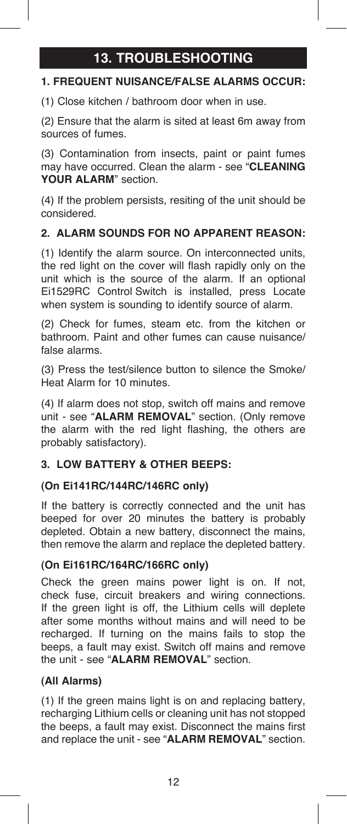# **13. TROUBLESHOOTING**

### **1. FREQUENT NUISANCE/FALSE ALARMS OCCUR:**

(1) Close kitchen / bathroom door when in use.

(2) Ensure that the alarm is sited at least 6m away from sources of fumes.

(3) Contamination from insects, paint or paint fumes may have occurred. Clean the alarm - see "**CLEANING YOUR ALARM**" section.

(4) If the problem persists, resiting of the unit should be considered.

### **2. ALARM SOUNDS FOR NO APPARENT REASON:**

(1) Identify the alarm source. On interconnected units, the red light on the cover will flash rapidly only on the unit which is the source of the alarm. If an optional Ei1529RC Control Switch is installed, press Locate when system is sounding to identify source of alarm.

(2) Check for fumes, steam etc. from the kitchen or bathroom. Paint and other fumes can cause nuisance/ false alarms.

(3) Press the test/silence button to silence the Smoke/ Heat Alarm for 10 minutes.

(4) If alarm does not stop, switch off mains and remove unit - see "**ALARM REMOVAL**" section. (Only remove the alarm with the red light flashing, the others are probably satisfactory).

### **3. LOW BATTERY & OTHER BEEPS:**

### **(On Ei141RC/144RC/146RC only)**

If the battery is correctly connected and the unit has beeped for over 20 minutes the battery is probably depleted. Obtain a new battery, disconnect the mains, then remove the alarm and replace the depleted battery.

### **(On Ei161RC/164RC/166RC only)**

Check the green mains power light is on. If not, check fuse, circuit breakers and wiring connections. If the green light is off, the Lithium cells will deplete after some months without mains and will need to be recharged. If turning on the mains fails to stop the beeps, a fault may exist. Switch off mains and remove the unit - see "**ALARM REMOVAL**" section.

### **(All Alarms)**

(1) If the green mains light is on and replacing battery, recharging Lithium cells or cleaning unit has not stopped the beeps, a fault may exist. Disconnect the mains first and replace the unit - see "**ALARM REMOVAL**" section.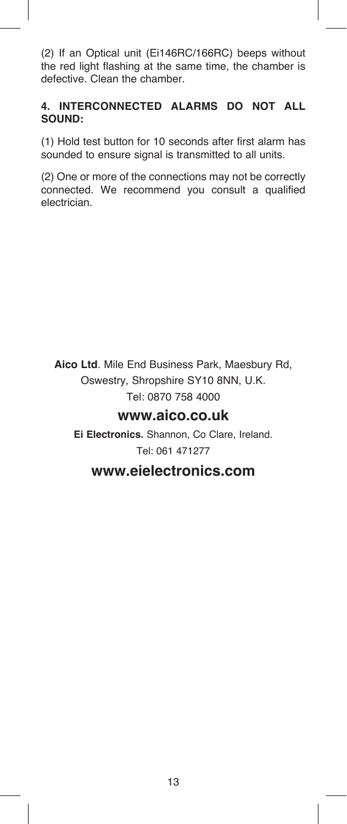(2) If an Optical unit (Ei146RC/166RC) beeps without the red light flashing at the same time, the chamber is defective. Clean the chamber.

### **4. INTERCONNECTED ALARMS DO NOT ALL SOUND:**

(1) Hold test button for 10 seconds after first alarm has sounded to ensure signal is transmitted to all units.

(2) One or more of the connections may not be correctly connected. We recommend you consult a qualified electrician.

**Aico Ltd**. Mile End Business Park, Maesbury Rd, Oswestry, Shropshire SY10 8NN, U.K. Tel: 0870 758 4000

### **www.aico.co.uk**

**Ei Electronics.** Shannon, Co Clare, Ireland. Tel: 061 471277

### **www.eielectronics.com**